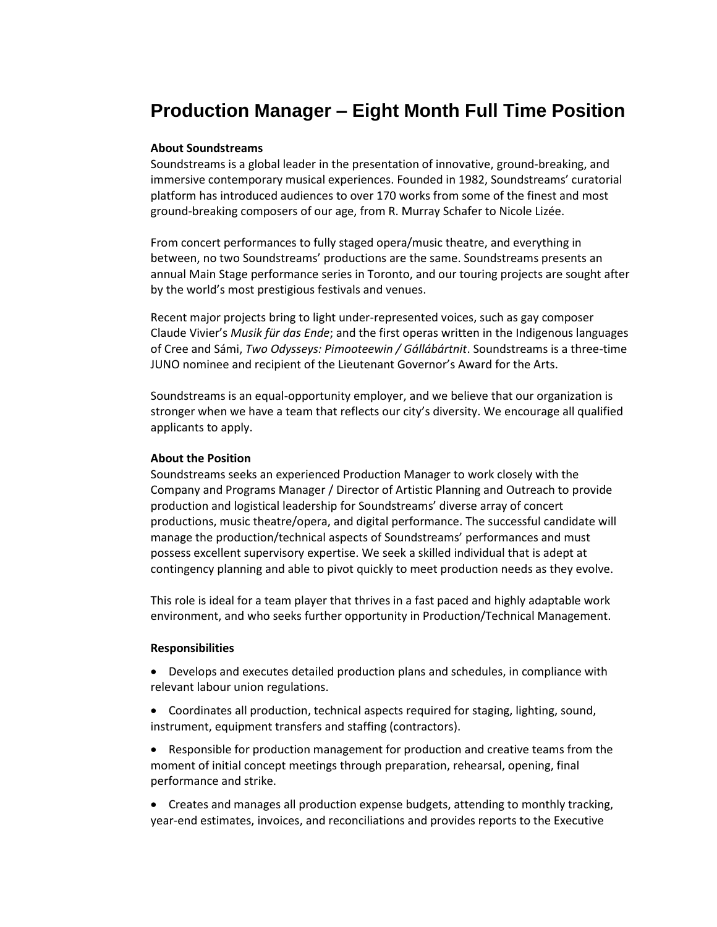# **Production Manager – Eight Month Full Time Position**

## **About Soundstreams**

Soundstreams is a global leader in the presentation of innovative, ground-breaking, and immersive contemporary musical experiences. Founded in 1982, Soundstreams' curatorial platform has introduced audiences to over 170 works from some of the finest and most ground-breaking composers of our age, from R. Murray Schafer to Nicole Lizée.

From concert performances to fully staged opera/music theatre, and everything in between, no two Soundstreams' productions are the same. Soundstreams presents an annual Main Stage performance series in Toronto, and our touring projects are sought after by the world's most prestigious festivals and venues.

Recent major projects bring to light under-represented voices, such as gay composer Claude Vivier's *Musik für das Ende*; and the first operas written in the Indigenous languages of Cree and Sámi, *Two Odysseys: Pimooteewin / Gállábártnit*. Soundstreams is a three-time JUNO nominee and recipient of the Lieutenant Governor's Award for the Arts.

Soundstreams is an equal-opportunity employer, and we believe that our organization is stronger when we have a team that reflects our city's diversity. We encourage all qualified applicants to apply.

### **About the Position**

Soundstreams seeks an experienced Production Manager to work closely with the Company and Programs Manager / Director of Artistic Planning and Outreach to provide production and logistical leadership for Soundstreams' diverse array of concert productions, music theatre/opera, and digital performance. The successful candidate will manage the production/technical aspects of Soundstreams' performances and must possess excellent supervisory expertise. We seek a skilled individual that is adept at contingency planning and able to pivot quickly to meet production needs as they evolve.

This role is ideal for a team player that thrives in a fast paced and highly adaptable work environment, and who seeks further opportunity in Production/Technical Management.

#### **Responsibilities**

 Develops and executes detailed production plans and schedules, in compliance with relevant labour union regulations.

 Coordinates all production, technical aspects required for staging, lighting, sound, instrument, equipment transfers and staffing (contractors).

 Responsible for production management for production and creative teams from the moment of initial concept meetings through preparation, rehearsal, opening, final performance and strike.

 Creates and manages all production expense budgets, attending to monthly tracking, year-end estimates, invoices, and reconciliations and provides reports to the Executive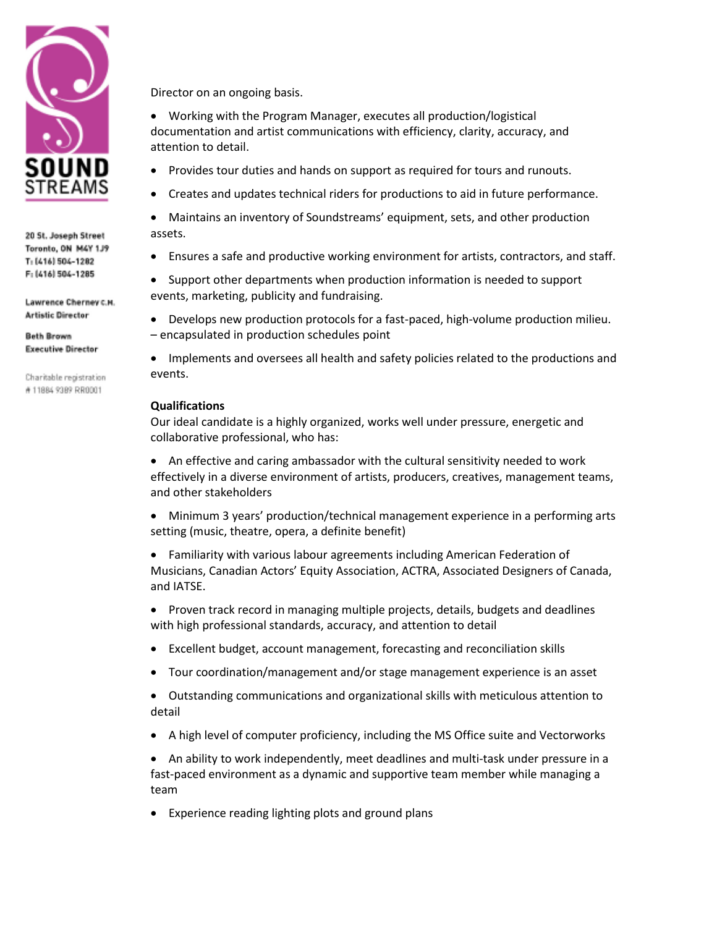

20 St. Joseph Street Toronto, ON M4Y 1J9 T: (416) 504-1282 F: (416) 504-1285

Lawrence Cherney c.H. **Artistic Director** 

**Beth Brown Executive Director** 

Charitable registration #11884 9389 RR0001

Director on an ongoing basis.

 Working with the Program Manager, executes all production/logistical documentation and artist communications with efficiency, clarity, accuracy, and attention to detail.

- Provides tour duties and hands on support as required for tours and runouts.
- Creates and updates technical riders for productions to aid in future performance.

 Maintains an inventory of Soundstreams' equipment, sets, and other production assets.

Ensures a safe and productive working environment for artists, contractors, and staff.

• Support other departments when production information is needed to support events, marketing, publicity and fundraising.

 Develops new production protocols for a fast-paced, high-volume production milieu. – encapsulated in production schedules point

• Implements and oversees all health and safety policies related to the productions and events.

## **Qualifications**

Our ideal candidate is a highly organized, works well under pressure, energetic and collaborative professional, who has:

 An effective and caring ambassador with the cultural sensitivity needed to work effectively in a diverse environment of artists, producers, creatives, management teams, and other stakeholders

 Minimum 3 years' production/technical management experience in a performing arts setting (music, theatre, opera, a definite benefit)

 Familiarity with various labour agreements including American Federation of Musicians, Canadian Actors' Equity Association, ACTRA, Associated Designers of Canada, and IATSE.

• Proven track record in managing multiple projects, details, budgets and deadlines with high professional standards, accuracy, and attention to detail

- Excellent budget, account management, forecasting and reconciliation skills
- Tour coordination/management and/or stage management experience is an asset

 Outstanding communications and organizational skills with meticulous attention to detail

A high level of computer proficiency, including the MS Office suite and Vectorworks

● An ability to work independently, meet deadlines and multi-task under pressure in a fast-paced environment as a dynamic and supportive team member while managing a team

Experience reading lighting plots and ground plans